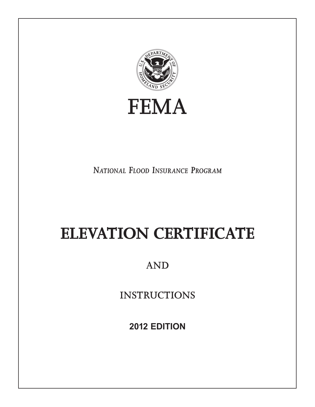



*NATIONAL FLOOD INSURANCE PROGRAM*

# **ELEVATION CERTIFICATE**

**AND** 

**INSTRUCTIONS**

**2012 EDITION**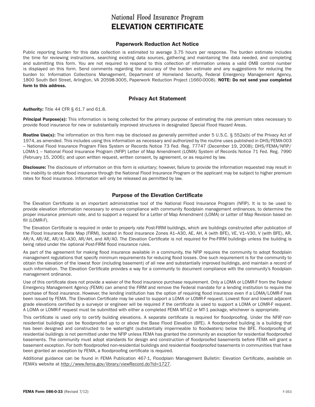# *National Flood Insurance Program* ELEVATION CERTIFICATE

#### Paperwork Reduction Act Notice

Public reporting burden for this data collection is estimated to average 3.75 hours per response. The burden estimate includes the time for reviewing instructions, searching existing data sources, gathering and maintaining the data needed, and completing and submitting this form. You are not required to respond to this collection of information unless a valid OMB control number is displayed on this form. Send comments regarding the accuracy of the burden estimate and any suggestions for reducing the burden to: Information Collections Management, Department of Homeland Security, Federal Emergency Management Agency, 1800 South Bell Street, Arlington, VA 20598-3005, Paperwork Reduction Project (1660-0008). NOTE: Do not send your completed form to this address.

#### Privacy Act Statement

**Authority: Title 44 CFR § 61.7 and 61.8.** 

Principal Purpose(s): This information is being collected for the primary purpose of estimating the risk premium rates necessary to provide flood insurance for new or substantially improved structures in designated Special Flood Hazard Areas.

Routine Use(s): The information on this form may be disclosed as generally permitted under 5 U.S.C. § 552a(b) of the Privacy Act of 1974, as amended. This includes using this information as necessary and authorized by the routine uses published in DHS/FEMA-003 – National Flood Insurance Program Files System or Records Notice 73 Fed. Reg. 77747 (December 19, 2008); DHS/FEMA/NFIP/ LOMA-1 – National Flood Insurance Program (NFIP) Letter of Map Amendment (LOMA) System of Records Notice 71 Fed. Reg. 7990 (February 15, 2006); and upon written request, written consent, by agreement, or as required by law.

Disclosure: The disclosure of information on this form is voluntary; however, failure to provide the information requested may result in the inability to obtain flood insurance through the National Flood Insurance Program or the applicant may be subject to higher premium rates for flood insurance. Information will only be released as permitted by law.

#### Purpose of the Elevation Certificate

The Elevation Certificate is an important administrative tool of the National Flood Insurance Program (NFIP). It is to be used to provide elevation information necessary to ensure compliance with community floodplain management ordinances, to determine the proper insurance premium rate, and to support a request for a Letter of Map Amendment (LOMA) or Letter of Map Revision based on fill (LOMR-F).

The Elevation Certificate is required in order to properly rate Post-FIRM buildings, which are buildings constructed after publication of the Flood Insurance Rate Map (FIRM), located in flood insurance Zones A1–A30, AE, AH, A (with BFE), VE, V1–V30, V (with BFE), AR, AR/A, AR/AE, AR/A1–A30, AR/AH, and AR/AO. The Elevation Certificate is not required for Pre-FIRM buildings unless the building is being rated under the optional Post-FIRM flood insurance rules.

As part of the agreement for making flood insurance available in a community, the NFIP requires the community to adopt floodplain management regulations that specify minimum requirements for reducing flood losses. One such requirement is for the community to obtain the elevation of the lowest floor (including basement) of all new and substantially improved buildings, and maintain a record of such information. The Elevation Certificate provides a way for a community to document compliance with the community's floodplain management ordinance.

Use of this certificate does not provide a waiver of the flood insurance purchase requirement. Only a LOMA or LOMR-F from the Federal Emergency Management Agency (FEMA) can amend the FIRM and remove the Federal mandate for a lending institution to require the purchase of flood insurance. However, the lending institution has the option of requiring flood insurance even if a LOMA/LOMR-F has been issued by FEMA. The Elevation Certificate may be used to support a LOMA or LOMR-F request. Lowest floor and lowest adjacent grade elevations certified by a surveyor or engineer will be required if the certificate is used to support a LOMA or LOMR-F request. A LOMA or LOMR-F request must be submitted with either a completed FEMA MT-EZ or MT-1 package, whichever is appropriate.

This certificate is used only to certify building elevations. A separate certificate is required for floodproofing. Under the NFIP nonresidential buildings can be floodproofed up to or above the Base Flood Elevation (BFE). A floodproofed building is a building that has been designed and constructed to be watertight (substantially impermeable to floodwaters) below the BFE. Floodproofing of residential buildings is not permitted under the NFIP unless FEMA has granted the community an exception for residential floodproofed basements. The community must adopt standards for design and construction of floodproofed basements before FEMA will grant a basement exception. For both floodproofed non-residential buildings and residential floodproofed basements in communities that have been granted an exception by FEMA, a floodproofing certificate is required.

Additional guidance can be found in FEMA Publication 467-1, Floodplain Management Bulletin: Elevation Certificate, available on FEMA's website at http://www.fema.gov/library/viewRecord.do?id=1727.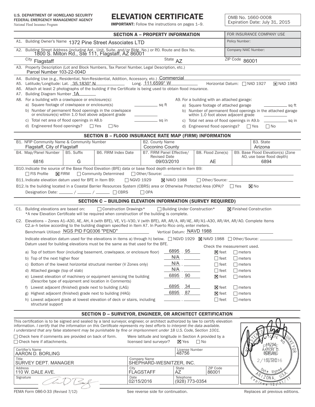*National Flood Insurance Program*

# ELEVATION CERTIFICATE

IMPORTANT: Follow the instructions on pages 1–9.

OMB No. 1660-0008 Expiration Date: July 31, 2015

| <b>SECTION A - PROPERTY INFORMATION</b>                                                                                                                                                                                                                                                                                                                                             |                                                                                                                                                                                                                                                                                                                    |            |                                                                     |                                |                                    |                    |                           | FOR INSURANCE COMPANY USE                       |               |                                   |
|-------------------------------------------------------------------------------------------------------------------------------------------------------------------------------------------------------------------------------------------------------------------------------------------------------------------------------------------------------------------------------------|--------------------------------------------------------------------------------------------------------------------------------------------------------------------------------------------------------------------------------------------------------------------------------------------------------------------|------------|---------------------------------------------------------------------|--------------------------------|------------------------------------|--------------------|---------------------------|-------------------------------------------------|---------------|-----------------------------------|
|                                                                                                                                                                                                                                                                                                                                                                                     | A1. Building Owner's Name 1372 Pine Street Associates LTD                                                                                                                                                                                                                                                          |            |                                                                     |                                |                                    |                    |                           | Policy Number:                                  |               |                                   |
|                                                                                                                                                                                                                                                                                                                                                                                     | A2. Building Street Address (including Apt., Unit, Suite, and/or Bldg. No.) or P.O. Route and Box No. 1800 S. Milton Rd., Ste 111, Flagstaff, AZ 86001                                                                                                                                                             |            |                                                                     |                                |                                    |                    |                           | Company NAIC Number:                            |               |                                   |
|                                                                                                                                                                                                                                                                                                                                                                                     | City Flagstaff<br>State AZ                                                                                                                                                                                                                                                                                         |            |                                                                     |                                |                                    |                    | ZIP Code 86001            |                                                 |               |                                   |
|                                                                                                                                                                                                                                                                                                                                                                                     | A3. Property Description (Lot and Block Numbers, Tax Parcel Number, Legal Description, etc.)<br>Parcel Number 103-22-004D                                                                                                                                                                                          |            |                                                                     |                                |                                    |                    |                           |                                                 |               |                                   |
| A4.                                                                                                                                                                                                                                                                                                                                                                                 | Building Use (e.g., Residential, Non-Residential, Addition, Accessory, etc.) Commercial                                                                                                                                                                                                                            |            |                                                                     |                                |                                    |                    |                           |                                                 |               |                                   |
|                                                                                                                                                                                                                                                                                                                                                                                     | Long. 111.6599° W<br>A5. Latitude/Longitude: Lat. 35.1830° N<br>Horizontal Datum: □ NAD 1927<br>$\overline{\mathsf{x}}$ NAD 1983<br>A6. Attach at least 2 photographs of the building if the Certificate is being used to obtain flood insurance.                                                                  |            |                                                                     |                                |                                    |                    |                           |                                                 |               |                                   |
| A7.                                                                                                                                                                                                                                                                                                                                                                                 | Building Diagram Number 1A                                                                                                                                                                                                                                                                                         |            |                                                                     |                                |                                    |                    |                           |                                                 |               |                                   |
|                                                                                                                                                                                                                                                                                                                                                                                     | A8. For a building with a crawlspace or enclosure(s):<br>A9. For a building with an attached garage:                                                                                                                                                                                                               |            |                                                                     |                                |                                    |                    |                           |                                                 |               |                                   |
|                                                                                                                                                                                                                                                                                                                                                                                     | a) Square footage of crawlspace or enclosure(s)<br>$rac{1}{\sqrt{2}}$ sq ft<br>a) Square footage of attached garage<br>__ sq ft<br>b) Number of permanent flood openings in the crawlspace<br>b) Number of permanent flood openings in the attached garage<br>or enclosure(s) within 1.0 foot above adjacent grade |            |                                                                     |                                |                                    |                    |                           |                                                 |               |                                   |
|                                                                                                                                                                                                                                                                                                                                                                                     | within 1.0 foot above adjacent grade<br>c) Total net area of flood openings in A8.b<br>c) Total net area of flood openings in A9.b<br>_____________ sq in                                                                                                                                                          |            |                                                                     |                                |                                    |                    | ___________________ sq in |                                                 |               |                                   |
|                                                                                                                                                                                                                                                                                                                                                                                     | d) Engineered flood openings?                                                                                                                                                                                                                                                                                      |            | $\Box$ No<br>  Yes                                                  |                                |                                    |                    |                           | d) Engineered flood openings?                   |               | $\Box$ Yes<br>$\Box$ No           |
|                                                                                                                                                                                                                                                                                                                                                                                     |                                                                                                                                                                                                                                                                                                                    |            | <b>SECTION B - FLOOD INSURANCE RATE MAP (FIRM) INFORMATION</b>      |                                |                                    |                    |                           |                                                 |               |                                   |
|                                                                                                                                                                                                                                                                                                                                                                                     | B1. NFIP Community Name & Community Number<br>Flagstaff, City of Flagstaff                                                                                                                                                                                                                                         |            |                                                                     |                                | B2. County Name<br>Coconino County |                    |                           |                                                 |               | B3. State<br>Arizona              |
|                                                                                                                                                                                                                                                                                                                                                                                     | B4. Map/Panel Number                                                                                                                                                                                                                                                                                               | B5. Suffix | B6. FIRM Index Date                                                 |                                | B7. FIRM Panel Effective/          |                    |                           | B8. Flood Zone(s)                               |               | B9. Base Flood Elevation(s) (Zone |
|                                                                                                                                                                                                                                                                                                                                                                                     | 6816                                                                                                                                                                                                                                                                                                               | G          |                                                                     |                                | <b>Revised Date</b><br>09/03/2010  |                    |                           | AE                                              |               | AO, use base flood depth)<br>6894 |
|                                                                                                                                                                                                                                                                                                                                                                                     | B10. Indicate the source of the Base Flood Elevation (BFE) data or base flood depth entered in Item B9:<br>$\Box$ FIS Profile<br>$\times$ FIRM                                                                                                                                                                     |            | □ Community Determined                                              |                                | $\Box$ Other/Source: $\Box$        |                    |                           |                                                 |               |                                   |
|                                                                                                                                                                                                                                                                                                                                                                                     | B11. Indicate elevation datum used for BFE in Item B9:                                                                                                                                                                                                                                                             |            |                                                                     | □ NGVD 1929                    |                                    | <b>X</b> NAVD 1988 |                           | $\Box$ Other/Source: $\Box$                     |               |                                   |
|                                                                                                                                                                                                                                                                                                                                                                                     | B12. Is the building located in a Coastal Barrier Resources System (CBRS) area or Otherwise Protected Area (OPA)?                                                                                                                                                                                                  |            |                                                                     |                                |                                    |                    |                           |                                                 | Yes           | $\times$ No                       |
|                                                                                                                                                                                                                                                                                                                                                                                     | Designation Date: ______/ _____/ ______ □ CBRS                                                                                                                                                                                                                                                                     |            |                                                                     |                                | $\Box$ OPA                         |                    |                           |                                                 |               |                                   |
|                                                                                                                                                                                                                                                                                                                                                                                     |                                                                                                                                                                                                                                                                                                                    |            | <b>SECTION C - BUILDING ELEVATION INFORMATION (SURVEY REQUIRED)</b> |                                |                                    |                    |                           |                                                 |               |                                   |
|                                                                                                                                                                                                                                                                                                                                                                                     | <b>X</b> Finished Construction<br>C1. Building elevations are based on:<br>□ Construction Drawings*<br>Building Under Construction*<br>*A new Elevation Certificate will be required when construction of the building is complete.                                                                                |            |                                                                     |                                |                                    |                    |                           |                                                 |               |                                   |
|                                                                                                                                                                                                                                                                                                                                                                                     | C2. Elevations - Zones A1-A30, AE, AH, A (with BFE), VE, V1-V30, V (with BFE), AR, AR/A, AR/AE, AR/A1-A30, AR/AH, AR/AO. Complete Items                                                                                                                                                                            |            |                                                                     |                                |                                    |                    |                           |                                                 |               |                                   |
|                                                                                                                                                                                                                                                                                                                                                                                     | C2.a-h below according to the building diagram specified in Item A7. In Puerto Rico only, enter meters.<br>Benchmark Utilized: NGS PID FQ0306 "PEND"                                                                                                                                                               |            |                                                                     | and the control of the control | Vertical Datum: NAVD 1988          |                    |                           |                                                 |               |                                   |
|                                                                                                                                                                                                                                                                                                                                                                                     |                                                                                                                                                                                                                                                                                                                    |            |                                                                     |                                |                                    |                    |                           |                                                 |               |                                   |
|                                                                                                                                                                                                                                                                                                                                                                                     | Datum used for building elevations must be the same as that used for the BFE.                                                                                                                                                                                                                                      |            |                                                                     |                                |                                    |                    |                           |                                                 |               |                                   |
|                                                                                                                                                                                                                                                                                                                                                                                     | a) Top of bottom floor (including basement, crawlspace, or enclosure floor)                                                                                                                                                                                                                                        |            |                                                                     |                                |                                    | 6895 95            |                           | Check the measurement used.<br>$\boxtimes$ feet | meters        |                                   |
|                                                                                                                                                                                                                                                                                                                                                                                     | b) Top of the next higher floor                                                                                                                                                                                                                                                                                    |            |                                                                     |                                |                                    | N/A                |                           | $\Box$ feet                                     | $\Box$ meters |                                   |
|                                                                                                                                                                                                                                                                                                                                                                                     | c) Bottom of the lowest horizontal structural member (V Zones only)                                                                                                                                                                                                                                                |            |                                                                     |                                |                                    | N/A                |                           | $\Box$ feet                                     | $\Box$ meters |                                   |
|                                                                                                                                                                                                                                                                                                                                                                                     | d) Attached garage (top of slab)                                                                                                                                                                                                                                                                                   |            |                                                                     |                                | N/A                                |                    | $\Box$ feet               | $\Box$ meters                                   |               |                                   |
|                                                                                                                                                                                                                                                                                                                                                                                     | e) Lowest elevation of machinery or equipment servicing the building<br>(Describe type of equipment and location in Comments)                                                                                                                                                                                      |            |                                                                     |                                |                                    | 6895               | 90                        | X feet                                          | $\Box$ meters |                                   |
|                                                                                                                                                                                                                                                                                                                                                                                     | f) Lowest adjacent (finished) grade next to building (LAG)                                                                                                                                                                                                                                                         |            |                                                                     |                                |                                    | 6895 34            |                           | $\times$ feet                                   | $\Box$ meters |                                   |
|                                                                                                                                                                                                                                                                                                                                                                                     | Highest adjacent (finished) grade next to building (HAG)<br>g)                                                                                                                                                                                                                                                     |            |                                                                     |                                |                                    | 6895.87            |                           | $X$ feet                                        | $\Box$ meters |                                   |
|                                                                                                                                                                                                                                                                                                                                                                                     | h) Lowest adjacent grade at lowest elevation of deck or stairs, including<br>$\Box$ feet<br>$\Box$ meters<br>structural support                                                                                                                                                                                    |            |                                                                     |                                |                                    |                    |                           |                                                 |               |                                   |
|                                                                                                                                                                                                                                                                                                                                                                                     |                                                                                                                                                                                                                                                                                                                    |            | <b>SECTION D - SURVEYOR, ENGINEER, OR ARCHITECT CERTIFICATION</b>   |                                |                                    |                    |                           |                                                 |               |                                   |
|                                                                                                                                                                                                                                                                                                                                                                                     |                                                                                                                                                                                                                                                                                                                    |            |                                                                     |                                |                                    |                    |                           |                                                 |               |                                   |
| This certification is to be signed and sealed by a land surveyor, engineer, or architect authorized by law to certify elevation<br>information. I certify that the information on this Certificate represents my best efforts to interpret the data available.<br>I understand that any false statement may be punishable by fine or imprisonment under 18 U.S. Code, Section 1001. |                                                                                                                                                                                                                                                                                                                    |            |                                                                     |                                |                                    |                    |                           |                                                 |               |                                   |
| $\Box$ Check here if comments are provided on back of form.<br>Were latitude and longitude in Section A provided by a<br>$\Box$ Check here if attachments.<br>licensed land surveyor?<br>$X$ Yes<br>  No                                                                                                                                                                            |                                                                                                                                                                                                                                                                                                                    |            |                                                                     |                                |                                    |                    |                           |                                                 |               |                                   |
| ARON D.<br>g<br>Certifier's Name<br>License Number<br>48756<br>BORLANG<br>AARON D. BORLING                                                                                                                                                                                                                                                                                          |                                                                                                                                                                                                                                                                                                                    |            |                                                                     |                                |                                    |                    |                           |                                                 |               |                                   |
| Title                                                                                                                                                                                                                                                                                                                                                                               | <b>Company Name</b><br>SURVEY DEPT. MANAGER<br>SHEPHARD-WESNITZER, INC.                                                                                                                                                                                                                                            |            |                                                                     |                                |                                    |                    |                           |                                                 | 2/1522616     |                                   |
| Address<br>City<br>110 W. DALE AVE.<br><b>FLAGSTAFF</b>                                                                                                                                                                                                                                                                                                                             |                                                                                                                                                                                                                                                                                                                    |            |                                                                     |                                | State<br>AZ                        |                    | ZIP Code<br>86001         |                                                 | Ote Sign      |                                   |
| 20NA<br>Signature<br>Date<br>Telephone<br>$\star_{\rho_{\frac{\prime_{r}}{\rho}}}$<br>02/15/2016<br>(928) 773-0354<br>1154                                                                                                                                                                                                                                                          |                                                                                                                                                                                                                                                                                                                    |            |                                                                     |                                |                                    |                    |                           |                                                 |               |                                   |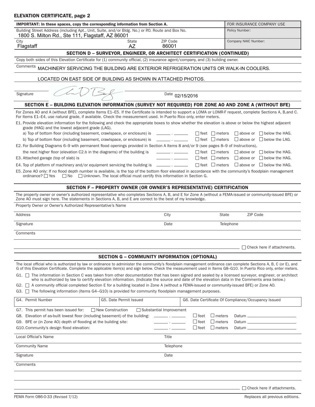## ELEVATION CERTIFICATE, page 2

| <b>IMPORTANT:</b> In these spaces, copy the corresponding information from Section A.                                                                                                                                                                                                                                                                       |                                                                             |                                |                                          | FOR INSURANCE COMPANY USE                                                      |  |  |  |
|-------------------------------------------------------------------------------------------------------------------------------------------------------------------------------------------------------------------------------------------------------------------------------------------------------------------------------------------------------------|-----------------------------------------------------------------------------|--------------------------------|------------------------------------------|--------------------------------------------------------------------------------|--|--|--|
| Building Street Address (including Apt., Unit, Suite, and/or Bldg. No.) or P.O. Route and Box No.<br>1800 S. Milton Rd., Ste 111, Flagstaff, AZ 86001                                                                                                                                                                                                       |                                                                             |                                |                                          | Policy Number:                                                                 |  |  |  |
| City<br>Flagstaff                                                                                                                                                                                                                                                                                                                                           | State<br>AZ                                                                 | ZIP Code<br>86001              |                                          | Company NAIC Number:                                                           |  |  |  |
| <b>SECTION D - SURVEYOR, ENGINEER, OR ARCHITECT CERTIFICATION (CONTINUED)</b>                                                                                                                                                                                                                                                                               |                                                                             |                                |                                          |                                                                                |  |  |  |
| Copy both sides of this Elevation Certificate for (1) community official, (2) insurance agent/company, and (3) building owner.                                                                                                                                                                                                                              |                                                                             |                                |                                          |                                                                                |  |  |  |
| Comments<br>MACHINERY SERVICING THE BUILDING ARE EXTERIOR REFRIGERATION UNITS OR WALK-IN COOLERS.                                                                                                                                                                                                                                                           |                                                                             |                                |                                          |                                                                                |  |  |  |
| LOCATED ON EAST SIDE OF BUILDING AS SHOWN IN ATTACHED PHOTOS.                                                                                                                                                                                                                                                                                               |                                                                             |                                |                                          |                                                                                |  |  |  |
| Signature                                                                                                                                                                                                                                                                                                                                                   |                                                                             | Date 02/15/2016                |                                          |                                                                                |  |  |  |
| SECTION E - BUILDING ELEVATION INFORMATION (SURVEY NOT REQUIRED) FOR ZONE AO AND ZONE A (WITHOUT BFE)                                                                                                                                                                                                                                                       |                                                                             |                                |                                          |                                                                                |  |  |  |
| For Zones AO and A (without BFE), complete Items E1–E5. If the Certificate is intended to support a LOMA or LOMR-F request, complete Sections A, B,and C.<br>For Items E1-E4, use natural grade, if available. Check the measurement used. In Puerto Rico only, enter meters.                                                                               |                                                                             |                                |                                          |                                                                                |  |  |  |
| E1. Provide elevation information for the following and check the appropriate boxes to show whether the elevation is above or below the highest adjacent<br>grade (HAG) and the lowest adjacent grade (LAG).                                                                                                                                                |                                                                             |                                |                                          |                                                                                |  |  |  |
| a) Top of bottom floor (including basement, crawlspace, or enclosure) is                                                                                                                                                                                                                                                                                    |                                                                             | the control of the control of  | feet meters<br>$\Box$ feet $\Box$ meters | $\Box$ above or $\Box$ below the HAG.<br>$\Box$ above or $\Box$ below the LAG. |  |  |  |
| b) Top of bottom floor (including basement, crawlspace, or enclosure) is<br>E2. For Building Diagrams 6-9 with permanent flood openings provided in Section A Items 8 and/or 9 (see pages 8-9 of Instructions),                                                                                                                                             |                                                                             | and the state of the state of  |                                          |                                                                                |  |  |  |
| the next higher floor (elevation C2.b in the diagrams) of the building is                                                                                                                                                                                                                                                                                   |                                                                             |                                | $\Box$ feet $\Box$ meters                | $\Box$ above or $\Box$ below the HAG.                                          |  |  |  |
| E3. Attached garage (top of slab) is                                                                                                                                                                                                                                                                                                                        |                                                                             |                                | $\Box$ meters<br>l Ifeet                 | above or below the HAG.                                                        |  |  |  |
|                                                                                                                                                                                                                                                                                                                                                             |                                                                             |                                | $\Box$ feet $\Box$ meters                | $\Box$ above or $\Box$ below the HAG.                                          |  |  |  |
| E4. Top of platform of machinery and/or equipment servicing the building is<br>E5. Zone AO only: If no flood depth number is available, is the top of the bottom floor elevated in accordance with the community's floodplain management<br>ordinance? $\Box$ Yes<br>□ Unknown. The local official must certify this information in Section G.<br>$\Box$ No |                                                                             |                                |                                          |                                                                                |  |  |  |
|                                                                                                                                                                                                                                                                                                                                                             | <b>SECTION F - PROPERTY OWNER (OR OWNER'S REPRESENTATIVE) CERTIFICATION</b> |                                |                                          |                                                                                |  |  |  |
| The property owner or owner's authorized representative who completes Sections A, B, and E for Zone A (without a FEMA-issued or community-issued BFE) or<br>Zone AO must sign here. The statements in Sections A, B, and E are correct to the best of my knowledge.                                                                                         |                                                                             |                                |                                          |                                                                                |  |  |  |
| Property Owner or Owner's Authorized Representative's Name                                                                                                                                                                                                                                                                                                  |                                                                             |                                |                                          |                                                                                |  |  |  |
| Address                                                                                                                                                                                                                                                                                                                                                     |                                                                             | City                           | <b>State</b>                             | ZIP Code                                                                       |  |  |  |
| Signature                                                                                                                                                                                                                                                                                                                                                   |                                                                             | Date                           |                                          | Telephone                                                                      |  |  |  |
| Comments                                                                                                                                                                                                                                                                                                                                                    |                                                                             |                                |                                          |                                                                                |  |  |  |
|                                                                                                                                                                                                                                                                                                                                                             |                                                                             |                                |                                          | $\Box$ Check here if attachments.                                              |  |  |  |
|                                                                                                                                                                                                                                                                                                                                                             | <b>SECTION G - COMMUNITY INFORMATION (OPTIONAL)</b>                         |                                |                                          |                                                                                |  |  |  |
| The local official who is authorized by law or ordinance to administer the community's floodplain management ordinance can complete Sections A, B, C (or E), and<br>G of this Elevation Certificate. Complete the applicable item(s) and sign below. Check the measurement used in Items G8-G10. In Puerto Rico only, enter meters.                         |                                                                             |                                |                                          |                                                                                |  |  |  |
| $G1.$ The information in Section C was taken from other documentation that has been signed and sealed by a licensed surveyor, engineer, or architect                                                                                                                                                                                                        |                                                                             |                                |                                          |                                                                                |  |  |  |
| who is authorized by law to certify elevation information. (Indicate the source and date of the elevation data in the Comments area below.)                                                                                                                                                                                                                 |                                                                             |                                |                                          |                                                                                |  |  |  |
| G2. <sub>[1]</sub> A community official completed Section E for a building located in Zone A (without a FEMA-issued or community-issued BFE) or Zone AO.                                                                                                                                                                                                    |                                                                             |                                |                                          |                                                                                |  |  |  |
| $G3.$ The following information (Items $G4-G10$ ) is provided for community floodplain management purposes.                                                                                                                                                                                                                                                 |                                                                             |                                |                                          |                                                                                |  |  |  |
| G4. Permit Number                                                                                                                                                                                                                                                                                                                                           | G5. Date Permit Issued                                                      |                                |                                          | G6. Date Certificate Of Compliance/Occupancy Issued                            |  |  |  |
| G7. This permit has been issued for:                                                                                                                                                                                                                                                                                                                        | $\Box$ New Construction                                                     | $\Box$ Substantial Improvement |                                          |                                                                                |  |  |  |
| G8. Elevation of as-built lowest floor (including basement) of the building:                                                                                                                                                                                                                                                                                |                                                                             |                                | $\Box$ feet<br>$\Box$ meters             |                                                                                |  |  |  |
| G9. BFE or (in Zone AO) depth of flooding at the building site:                                                                                                                                                                                                                                                                                             |                                                                             | $\Box$ feet<br>$\Box$ meters   |                                          |                                                                                |  |  |  |
| G10. Community's design flood elevation:                                                                                                                                                                                                                                                                                                                    |                                                                             |                                | $\Box$ feet<br>$\Box$ meters             |                                                                                |  |  |  |
| Local Official's Name                                                                                                                                                                                                                                                                                                                                       |                                                                             | Title                          |                                          |                                                                                |  |  |  |
| <b>Community Name</b>                                                                                                                                                                                                                                                                                                                                       |                                                                             | Telephone                      |                                          |                                                                                |  |  |  |
| Signature                                                                                                                                                                                                                                                                                                                                                   |                                                                             | Date                           |                                          |                                                                                |  |  |  |
| Comments                                                                                                                                                                                                                                                                                                                                                    |                                                                             |                                |                                          |                                                                                |  |  |  |
|                                                                                                                                                                                                                                                                                                                                                             |                                                                             |                                |                                          |                                                                                |  |  |  |

 $\Box$  Check here if attachments.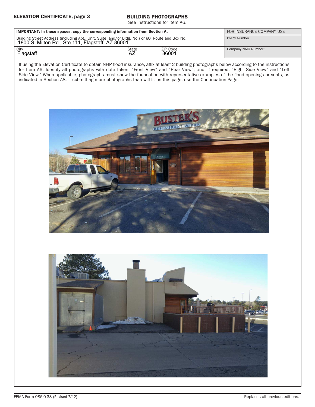#### BUILDING PHOTOGRAPHS

See Instructions for Item A6.

| IMPORTANT: In these spaces, copy the corresponding information from Section A.                                                                        | FOR INSURANCE COMPANY USE |                   |                      |
|-------------------------------------------------------------------------------------------------------------------------------------------------------|---------------------------|-------------------|----------------------|
| Building Street Address (including Apt., Unit, Suite, and/or Bldg. No.) or P.O. Route and Box No.<br>1800 S. Milton Rd., Ste 111, Flagstaff, AZ 86001 | <b>Policy Number:</b>     |                   |                      |
| City<br>Flagstaff                                                                                                                                     | <b>State</b><br>AZ        | ZIP Code<br>86001 | Company NAIC Number: |

If using the Elevation Certificate to obtain NFIP flood insurance, affix at least 2 building photographs below according to the instructions for Item A6. Identify all photographs with date taken; "Front View" and "Rear View"; and, if required, "Right Side View" and "Left Side View." When applicable, photographs must show the foundation with representative examples of the flood openings or vents, as indicated in Section A8. If submitting more photographs than will fit on this page, use the Continuation Page.



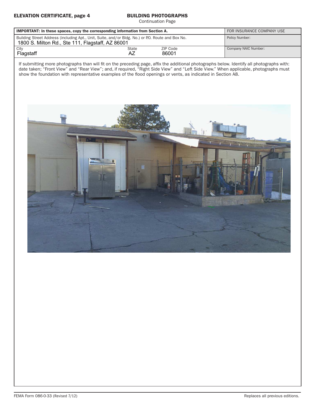#### BUILDING PHOTOGRAPHS

Continuation Page

| IMPORTANT: In these spaces, copy the corresponding information from Section A.                                                                                                                                                                                                                                                                                                                      | FOR INSURANCE COMPANY USE |                   |                      |
|-----------------------------------------------------------------------------------------------------------------------------------------------------------------------------------------------------------------------------------------------------------------------------------------------------------------------------------------------------------------------------------------------------|---------------------------|-------------------|----------------------|
| Building Street Address (including Apt., Unit, Suite, and/or Bldg. No.) or P.O. Route and Box No.<br>1800 S. Milton Rd., Ste 111, Flagstaff, AZ 86001                                                                                                                                                                                                                                               | Policy Number:            |                   |                      |
| City<br>Flagstaff                                                                                                                                                                                                                                                                                                                                                                                   | State<br><b>AZ</b>        | ZIP Code<br>86001 | Company NAIC Number: |
| If submitting more photographs than will fit on the preceding page, affix the additional photographs below. Identify all photographs with:<br>date taken; "Front View" and "Rear View"; and, if required, "Right Side View" and "Left Side View." When applicable, photographs must<br>show the foundation with representative examples of the flood openings or vents, as indicated in Section A8. |                           |                   |                      |
|                                                                                                                                                                                                                                                                                                                                                                                                     |                           |                   |                      |
|                                                                                                                                                                                                                                                                                                                                                                                                     |                           |                   |                      |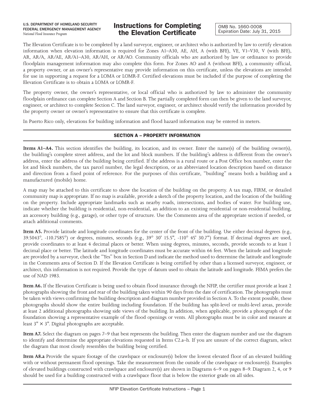### Instructions for Completing the Elevation Certificate

The Elevation Certificate is to be completed by a land surveyor, engineer, or architect who is authorized by law to certify elevation information when elevation information is required for Zones A1–A30, AE, AH, A (with BFE), VE, V1–V30, V (with BFE), AR, AR/A, AR/AE, AR/A1–A30, AR/AH, or AR/AO. Community officials who are authorized by law or ordinance to provide floodplain management information may also complete this form. For Zones AO and A (without BFE), a community official, a property owner, or an owner's representative may provide information on this certificate, unless the elevations are intended for use in supporting a request for a LOMA or LOMR-F. Certified elevations must be included if the purpose of completing the Elevation Certificate is to obtain a LOMA or LOMR-F.

The property owner, the owner's representative, or local official who is authorized by law to administer the community floodplain ordinance can complete Section A and Section B. The partially completed form can then be given to the land surveyor, engineer, or architect to complete Section C. The land surveyor, engineer, or architect should verify the information provided by the property owner or owner's representative to ensure that this certificate is complete.

In Puerto Rico only, elevations for building information and flood hazard information may be entered in meters.

#### SECTION A – PROPERTY INFORMATION

**Items A1–A4.** This section identifies the building, its location, and its owner. Enter the name(s) of the building owner(s), the building's complete street address, and the lot and block numbers. If the building's address is different from the owner's address, enter the address of the building being certified. If the address is a rural route or a Post Office box number, enter the lot and block numbers, the tax parcel number, the legal description, or an abbreviated location description based on distance and direction from a fixed point of reference. For the purposes of this certificate, "building" means both a building and a manufactured (mobile) home.

A map may be attached to this certificate to show the location of the building on the property. A tax map, FIRM, or detailed community map is appropriate. If no map is available, provide a sketch of the property location, and the location of the building on the property. Include appropriate landmarks such as nearby roads, intersections, and bodies of water. For building use, indicate whether the building is residential, non-residential, an addition to an existing residential or non-residential building, an accessory building (e.g., garage), or other type of structure. Use the Comments area of the appropriate section if needed, or attach additional comments.

**Item A5.** Provide latitude and longitude coordinates for the center of the front of the building. Use either decimal degrees (e.g., 39.5043°, -110.7585°) or degrees, minutes, seconds (e.g.,  $39°$  30' 15.5", -110° 45' 30.7") format. If decimal degrees are used, provide coordinates to at least 4 decimal places or better. When using degrees, minutes, seconds, provide seconds to at least 1 decimal place or better. The latitude and longitude coordinates must be accurate within 66 feet. When the latitude and longitude are provided by a surveyor, check the "Yes" box in Section D and indicate the method used to determine the latitude and longitude in the Comments area of Section D. If the Elevation Certificate is being certified by other than a licensed surveyor, engineer, or architect, this information is not required. Provide the type of datum used to obtain the latitude and longitude. FEMA prefers the use of NAD 1983.

**Item A6.** If the Elevation Certificate is being used to obtain flood insurance through the NFIP, the certifier must provide at least 2 photographs showing the front and rear of the building taken within 90 days from the date of certification. The photographs must be taken with views confirming the building description and diagram number provided in Section A. To the extent possible, these photographs should show the entire building including foundation. If the building has split-level or multi-level areas, provide at least 2 additional photographs showing side views of the building. In addition, when applicable, provide a photograph of the foundation showing a representative example of the flood openings or vents. All photographs must be in color and measure at least  $3'' \times 3''$ . Digital photographs are acceptable.

**Item A7.** Select the diagram on pages 7–9 that best represents the building. Then enter the diagram number and use the diagram to identify and determine the appropriate elevations requested in Items C2.a–h. If you are unsure of the correct diagram, select the diagram that most closely resembles the building being certified.

**Item A8.a** Provide the square footage of the crawlspace or enclosure(s) below the lowest elevated floor of an elevated building with or without permanent flood openings. Take the measurement from the outside of the crawlspace or enclosure(s). Examples of elevated buildings constructed with crawlspace and enclosure(s) are shown in Diagrams 6–9 on pages 8–9. Diagram 2, 4, or 9 should be used for a building constructed with a crawlspace floor that is below the exterior grade on all sides.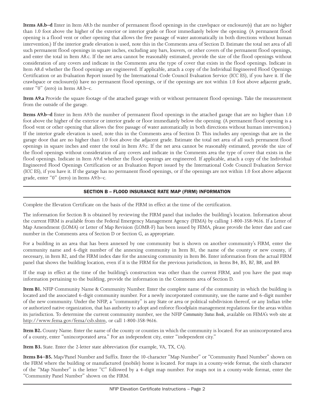**Items A8.b–d** Enter in Item A8.b the number of permanent flood openings in the crawlspace or enclosure(s) that are no higher than 1.0 foot above the higher of the exterior or interior grade or floor immediately below the opening. (A permanent flood opening is a flood vent or other opening that allows the free passage of water automatically in both directions without human intervention.) If the interior grade elevation is used, note this in the Comments area of Section D. Estimate the total net area of all such permanent flood openings in square inches, excluding any bars, louvers, or other covers of the permanent flood openings, and enter the total in Item A8.c. If the net area cannot be reasonably estimated, provide the size of the flood openings without consideration of any covers and indicate in the Comments area the type of cover that exists in the flood openings. Indicate in Item A8.d whether the flood openings are engineered. If applicable, attach a copy of the Individual Engineered Flood Openings Certification or an Evaluation Report issued by the International Code Council Evaluation Service (ICC ES), if you have it. If the crawlspace or enclosure(s) have no permanent flood openings, or if the openings are not within 1.0 foot above adjacent grade, enter "0" (zero) in Items A8.b–c.

**Item A9.a** Provide the square footage of the attached garage with or without permanent flood openings. Take the measurement from the outside of the garage.

**Items A9.b–d** Enter in Item A9.b the number of permanent flood openings in the attached garage that are no higher than 1.0 foot above the higher of the exterior or interior grade or floor immediately below the opening. (A permanent flood opening is a flood vent or other opening that allows the free passage of water automatically in both directions without human intervention.) If the interior grade elevation is used, note this in the Comments area of Section D. This includes any openings that are in the garage door that are no higher than 1.0 foot above the adjacent grade. Estimate the total net area of all such permanent flood openings in square inches and enter the total in Item A9.c. If the net area cannot be reasonably estimated, provide the size of the flood openings without consideration of any covers and indicate in the Comments area the type of cover that exists in the flood openings. Indicate in Item A9.d whether the flood openings are engineered. If applicable, attach a copy of the Individual Engineered Flood Openings Certification or an Evaluation Report issued by the International Code Council Evaluation Service (ICC ES), if you have it. If the garage has no permanent flood openings, or if the openings are not within 1.0 foot above adjacent grade, enter "0" (zero) in Items A9.b–c.

#### SECTION B – FLOOD INSURANCE RATE MAP (FIRM) INFORMATION

Complete the Elevation Certificate on the basis of the FIRM in effect at the time of the certification.

The information for Section B is obtained by reviewing the FIRM panel that includes the building's location. Information about the current FIRM is available from the Federal Emergency Management Agency (FEMA) by calling 1-800-358-9616. If a Letter of Map Amendment (LOMA) or Letter of Map Revision (LOMR-F) has been issued by FEMA, please provide the letter date and case number in the Comments area of Section D or Section G, as appropriate.

For a building in an area that has been annexed by one community but is shown on another community's FIRM, enter the community name and 6-digit number of the annexing community in Item B1, the name of the county or new county, if necessary, in Item B2, and the FIRM index date for the annexing community in Item B6. Enter information from the actual FIRM panel that shows the building location, even if it is the FIRM for the previous jurisdiction, in Items B4, B5, B7, B8, and B9.

If the map in effect at the time of the building's construction was other than the current FIRM, and you have the past map information pertaining to the building, provide the information in the Comments area of Section D.

**Item B1.** NFIP Community Name & Community Number. Enter the complete name of the community in which the building is located and the associated 6-digit community number. For a newly incorporated community, use the name and 6-digit number of the new community. Under the NFIP, a "community" is any State or area or political subdivision thereof, or any Indian tribe or authorized native organization, that has authority to adopt and enforce floodplain management regulations for the areas within its jurisdiction. To determine the current community number, see the NFIP *Community Status Book*, available on FEMA's web site at http://www.fema.gov/fema/csb.shtm, or call 1-800-358-9616.

**Item B2.** County Name. Enter the name of the county or counties in which the community is located. For an unincorporated area of a county, enter "unincorporated area." For an independent city, enter "independent city."

**Item B3.** State. Enter the 2-letter state abbreviation (for example, VA, TX, CA).

**Items B4–B5.** Map/Panel Number and Suffix. Enter the 10-character "Map Number" or "Community Panel Number" shown on the FIRM where the building or manufactured (mobile) home is located. For maps in a county-wide format, the sixth character of the "Map Number" is the letter "C" followed by a 4-digit map number. For maps not in a county-wide format, enter the "Community Panel Number" shown on the FIRM.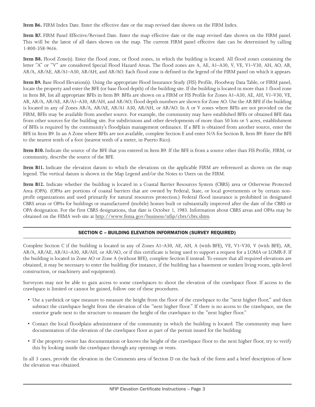**Item B6.** FIRM Index Date. Enter the effective date or the map revised date shown on the FIRM Index.

**Item B7.** FIRM Panel Effective/Revised Date. Enter the map effective date or the map revised date shown on the FIRM panel. This will be the latest of all dates shown on the map. The current FIRM panel effective date can be determined by calling 1-800-358-9616.

**Item B8.** Flood Zone(s). Enter the flood zone, or flood zones, in which the building is located. All flood zones containing the letter "A" or "V" are considered Special Flood Hazard Areas. The flood zones are A, AE, A1–A30, V, VE, V1–V30, AH, AO, AR, AR/A, AR/AE, AR/A1–A30, AR/AH, and AR/AO. Each flood zone is defined in the legend of the FIRM panel on which it appears.

**Item B9.** Base Flood Elevation(s). Using the appropriate Flood Insurance Study (FIS) Profile, Floodway Data Table, or FIRM panel, locate the property and enter the BFE (or base flood depth) of the building site. If the building is located in more than 1 flood zone in Item B8, list all appropriate BFEs in Item B9. BFEs are shown on a FIRM or FIS Profile for Zones A1–A30, AE, AH, V1–V30, VE, AR, AR/A, AR/AE, AR/A1–A30, AR/AH, and AR/AO; flood depth numbers are shown for Zone AO. Use the AR BFE if the building is located in any of Zones AR/A, AR/AE, AR/A1 A30, AR/AH, or AR/AO. In A or V zones where BFEs are not provided on the FIRM, BFEs may be available from another source. For example, the community may have established BFEs or obtained BFE data from other sources for the building site. For subdivisions and other developments of more than 50 lots or 5 acres, establishment of BFEs is required by the community's floodplain management ordinance. If a BFE is obtained from another source, enter the BFE in Item B9. In an A Zone where BFEs are not available, complete Section E and enter N/A for Section B, Item B9. Enter the BFE to the nearest tenth of a foot (nearest tenth of a meter, in Puerto Rico).

**Item B10.** Indicate the source of the BFE that you entered in Item B9. If the BFE is from a source other than FIS Profile, FIRM, or community, describe the source of the BFE.

**Item B11.** Indicate the elevation datum to which the elevations on the applicable FIRM are referenced as shown on the map legend. The vertical datum is shown in the Map Legend and/or the Notes to Users on the FIRM.

**Item B12.** Indicate whether the building is located in a Coastal Barrier Resources System (CBRS) area or Otherwise Protected Area (OPA). (OPAs are portions of coastal barriers that are owned by Federal, State, or local governments or by certain nonprofit organizations and used primarily for natural resources protection.) Federal flood insurance is prohibited in designated CBRS areas or OPAs for buildings or manufactured (mobile) homes built or substantially improved after the date of the CBRS or OPA designation. For the first CBRS designations, that date is October 1, 1983. Information about CBRS areas and OPAs may be obtained on the FEMA web site at http://www.fema.gov/business/nfip/cbrs/cbrs.shtm.

#### SECTION C – BUILDING ELEVATION INFORMATION (SURVEY REQUIRED)

Complete Section C if the building is located in any of Zones A1–A30, AE, AH, A (with BFE), VE, V1–V30, V (with BFE), AR, AR/A, AR/AE, AR/A1–A30, AR/AH, or AR/AO, or if this certificate is being used to support a request for a LOMA or LOMR-F. If the building is located in Zone AO or Zone A (without BFE), complete Section E instead. To ensure that all required elevations are obtained, it may be necessary to enter the building (for instance, if the building has a basement or sunken living room, split-level construction, or machinery and equipment).

Surveyors may not be able to gain access to some crawlspaces to shoot the elevation of the crawlspace floor. If access to the crawlspace is limited or cannot be gained, follow one of these procedures.

- Use a yardstick or tape measure to measure the height from the floor of the crawlspace to the "next higher floor," and then subtract the crawlspace height from the elevation of the "next higher floor." If there is no access to the crawlspace, use the exterior grade next to the structure to measure the height of the crawlspace to the "next higher floor."
- Contact the local floodplain administrator of the community in which the building is located. The community may have documentation of the elevation of the crawlspace floor as part of the permit issued for the building.
- If the property owner has documentation or knows the height of the crawlspace floor to the next higher floor, try to verify this by looking inside the crawlspace through any openings or vents.

In all 3 cases, provide the elevation in the Comments area of Section D on the back of the form and a brief description of how the elevation was obtained.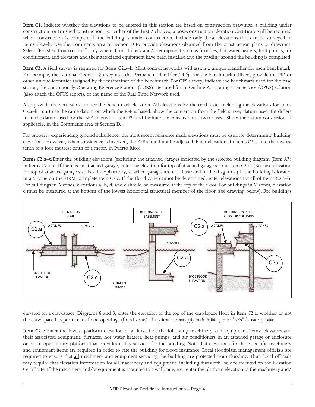**Item C1.** Indicate whether the elevations to be entered in this section are based on construction drawings, a building under construction, or finished construction. For either of the first 2 choices, a post-construction Elevation Certificate will be required when construction is complete. If the building is under construction, include only those elevations that can be surveyed in Items C2.a–h. Use the Comments area of Section D to provide elevations obtained from the construction plans or drawings. Select "Finished Construction" only when all machinery and/or equipment such as furnaces, hot water heaters, heat pumps, air conditioners, and elevators and their associated equipment have been installed and the grading around the building is completed.

**Item C2.** A field survey is required for Items C2.a–h. Most control networks will assign a unique identifier for each benchmark. For example, the National Geodetic Survey uses the Permanent Identifier (PID). For the benchmark utilized, provide the PID or other unique identifier assigned by the maintainer of the benchmark. For GPS survey, indicate the benchmark used for the base station, the Continuously Operating Reference Stations (CORS) sites used for an On-line Positioning User Service (OPUS) solution (also attach the OPUS report), or the name of the Real Time Network used.

Also provide the vertical datum for the benchmark elevation. All elevations for the certificate, including the elevations for Items C2.a–h, must use the same datum on which the BFE is based. Show the conversion from the field survey datum used if it differs from the datum used for the BFE entered in Item B9 and indicate the conversion software used. Show the datum conversion, if applicable, in the Comments area of Section D.

For property experiencing ground subsidence, the most recent reference mark elevations must be used for determining building elevations. However, when subsidence is involved, the BFE should not be adjusted. Enter elevations in Items C2.a–h to the nearest tenth of a foot (nearest tenth of a meter, in Puerto Rico).

**Items C2.a–d** Enter the building elevations (excluding the attached garage) indicated by the selected building diagram (Item A7) in Items C2.a–c. If there is an attached garage, enter the elevation for top of attached garage slab in Item C2.d. (Because elevation for top of attached garage slab is self-explanatory, attached garages are not illustrated in the diagrams.) If the building is located in a V zone on the FIRM, complete Item C2.c. If the flood zone cannot be determined, enter elevations for all of Items C2.a–h. For buildings in A zones, elevations a, b, d, and e should be measured at the top of the floor. For buildings in V zones, elevation c must be measured at the bottom of the lowest horizontal structural member of the floor (see drawing below). For buildings



elevated on a crawlspace, Diagrams 8 and 9, enter the elevation of the top of the crawlspace floor in Item C2.a, whether or not the crawlspace has permanent flood openings (flood vents). *If any item does not apply to the building, enter "N/A" for not applicable.*

**Item C2.e** Enter the lowest platform elevation of at least 1 of the following machinery and equipment items: elevators and their associated equipment, furnaces, hot water heaters, heat pumps, and air conditioners in an attached garage or enclosure or on an open utility platform that provides utility services for the building. Note that elevations for these specific machinery and equipment items are required in order to rate the building for flood insurance. Local floodplain management officials are required to ensure that all machinery and equipment servicing the building are protected from flooding. Thus, local officials may require that elevation information for all machinery and equipment, including ductwork, be documented on the Elevation Certificate. If the machinery and/or equipment is mounted to a wall, pile, etc., enter the platform elevation of the machinery and/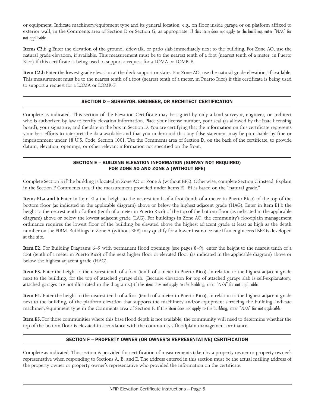or equipment. Indicate machinery/equipment type and its general location, e.g., on floor inside garage or on platform affixed to exterior wall, in the Comments area of Section D or Section G, as appropriate. *If this item does not apply to the building, enter "N/A" for not applicable.*

**Items C2.f–g** Enter the elevation of the ground, sidewalk, or patio slab immediately next to the building. For Zone AO, use the natural grade elevation, if available. This measurement must be to the nearest tenth of a foot (nearest tenth of a meter, in Puerto Rico) if this certificate is being used to support a request for a LOMA or LOMR-F.

**Item C2.h** Enter the lowest grade elevation at the deck support or stairs. For Zone AO, use the natural grade elevation, if available. This measurement must be to the nearest tenth of a foot (nearest tenth of a meter, in Puerto Rico) if this certificate is being used to support a request for a LOMA or LOMR-F.

#### SECTION D – SURVEYOR, ENGINEER, OR ARCHITECT CERTIFICATION

Complete as indicated. This section of the Elevation Certificate may be signed by only a land surveyor, engineer, or architect who is authorized by law to certify elevation information. Place your license number, your seal (as allowed by the State licensing board), your signature, and the date in the box in Section D. You are certifying that the information on this certificate represents your best efforts to interpret the data available and that you understand that any false statement may be punishable by fine or imprisonment under 18 U.S. Code, Section 1001. Use the Comments area of Section D, on the back of the certificate, to provide datum, elevation, openings, or other relevant information not specified on the front.

#### SECTION E – BUILDING ELEVATION INFORMATION (SURVEY NOT REQUIRED) FOR ZONE AO AND ZONE A (WITHOUT BFE)

Complete Section E if the building is located in Zone AO or Zone A (without BFE). Otherwise, complete Section C instead. Explain in the Section F Comments area if the measurement provided under Items E1–E4 is based on the "natural grade."

**Items E1.a and b** Enter in Item E1.a the height to the nearest tenth of a foot (tenth of a meter in Puerto Rico) of the top of the bottom floor (as indicated in the applicable diagram) above or below the highest adjacent grade (HAG). Enter in Item E1.b the height to the nearest tenth of a foot (tenth of a meter in Puerto Rico) of the top of the bottom floor (as indicated in the applicable diagram) above or below the lowest adjacent grade (LAG). For buildings in Zone AO, the community's floodplain management ordinance requires the lowest floor of the building be elevated above the highest adjacent grade at least as high as the depth number on the FIRM. Buildings in Zone A (without BFE) may qualify for a lower insurance rate if an engineered BFE is developed at the site.

**Item E2.** For Building Diagrams 6–9 with permanent flood openings (see pages 8–9), enter the height to the nearest tenth of a foot (tenth of a meter in Puerto Rico) of the next higher floor or elevated floor (as indicated in the applicable diagram) above or below the highest adjacent grade (HAG).

**Item E3.** Enter the height to the nearest tenth of a foot (tenth of a meter in Puerto Rico), in relation to the highest adjacent grade next to the building, for the top of attached garage slab. (Because elevation for top of attached garage slab is self-explanatory, attached garages are not illustrated in the diagrams.) *If this item does not apply to the building, enter "N/A" for not applicable.*

**Item E4.** Enter the height to the nearest tenth of a foot (tenth of a meter in Puerto Rico), in relation to the highest adjacent grade next to the building, of the platform elevation that supports the machinery and/or equipment servicing the building. Indicate machinery/equipment type in the Comments area of Section F. *If this item does not apply to the building, enter "N/A" for not applicable.* 

**Item E5.** For those communities where this base flood depth is not available, the community will need to determine whether the top of the bottom floor is elevated in accordance with the community's floodplain management ordinance.

#### SECTION F – PROPERTY OWNER (OR OWNER'S REPRESENTATIVE) CERTIFICATION

Complete as indicated. This section is provided for certification of measurements taken by a property owner or property owner's representative when responding to Sections A, B, and E. The address entered in this section must be the actual mailing address of the property owner or property owner's representative who provided the information on the certificate.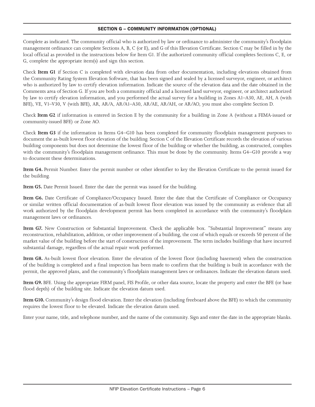#### SECTION G – COMMUNITY INFORMATION (OPTIONAL)

Complete as indicated. The community official who is authorized by law or ordinance to administer the community's floodplain management ordinance can complete Sections A, B, C (or E), and G of this Elevation Certificate. Section C may be filled in by the local official as provided in the instructions below for Item G1. If the authorized community official completes Sections C, E, or G, complete the appropriate item(s) and sign this section.

Check **Item G1** if Section C is completed with elevation data from other documentation, including elevations obtained from the Community Rating System Elevation Software, that has been signed and sealed by a licensed surveyor, engineer, or architect who is authorized by law to certify elevation information. Indicate the source of the elevation data and the date obtained in the Comments area of Section G. If you are both a community official and a licensed land surveyor, engineer, or architect authorized by law to certify elevation information, and you performed the actual survey for a building in Zones A1–A30, AE, AH, A (with BFE), VE, V1–V30, V (with BFE), AR, AR/A, AR/A1–A30, AR/AE, AR/AH, or AR/AO, you must also complete Section D.

Check **Item G2** if information is entered in Section E by the community for a building in Zone A (without a FEMA-issued or community-issued BFE) or Zone AO.

Check **Item G3** if the information in Items G4–G10 has been completed for community floodplain management purposes to document the as-built lowest floor elevation of the building. Section C of the Elevation Certificate records the elevation of various building components but does not determine the lowest floor of the building or whether the building, as constructed, complies with the community's floodplain management ordinance. This must be done by the community. Items G4–G10 provide a way to document these determinations.

**Item G4.** Permit Number. Enter the permit number or other identifier to key the Elevation Certificate to the permit issued for the building.

**Item G5.** Date Permit Issued. Enter the date the permit was issued for the building.

**Item G6.** Date Certificate of Compliance/Occupancy Issued. Enter the date that the Certificate of Compliance or Occupancy or similar written official documentation of as-built lowest floor elevation was issued by the community as evidence that all work authorized by the floodplain development permit has been completed in accordance with the community's floodplain management laws or ordinances.

Item G7. New Construction or Substantial Improvement. Check the applicable box. "Substantial Improvement" means any reconstruction, rehabilitation, addition, or other improvement of a building, the cost of which equals or exceeds 50 percent of the market value of the building before the start of construction of the improvement. The term includes buildings that have incurred substantial damage, regardless of the actual repair work performed.

**Item G8.** As-built lowest floor elevation. Enter the elevation of the lowest floor (including basement) when the construction of the building is completed and a final inspection has been made to confirm that the building is built in accordance with the permit, the approved plans, and the community's floodplain management laws or ordinances. Indicate the elevation datum used.

**Item G9.** BFE. Using the appropriate FIRM panel, FIS Profile, or other data source, locate the property and enter the BFE (or base flood depth) of the building site. Indicate the elevation datum used.

**Item G10.** Community's design flood elevation. Enter the elevation (including freeboard above the BFE) to which the community requires the lowest floor to be elevated. Indicate the elevation datum used.

Enter your name, title, and telephone number, and the name of the community. Sign and enter the date in the appropriate blanks.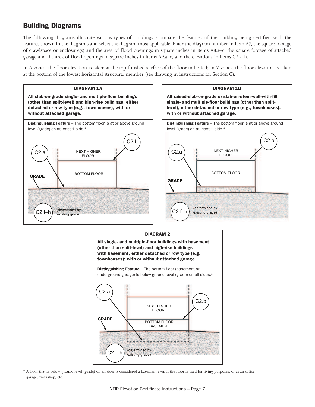## Building Diagrams

The following diagrams illustrate various types of buildings. Compare the features of the building being certified with the features shown in the diagrams and select the diagram most applicable. Enter the diagram number in Item A7, the square footage of crawlspace or enclosure(s) and the area of flood openings in square inches in Items A8.a–c, the square footage of attached garage and the area of flood openings in square inches in Items A9.a–c, and the elevations in Items C2.a–h.

In A zones, the floor elevation is taken at the top finished surface of the floor indicated; in V zones, the floor elevation is taken at the bottom of the lowest horizontal structural member (see drawing in instructions for Section C).



\* A floor that is below ground level (grade) on all sides is considered a basement even if the floor is used for living purposes, or as an office, garage, workshop, etc.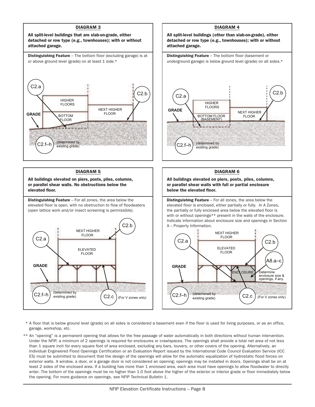

- \* A floor that is below ground level (grade) on all sides is considered a basement even if the floor is used for living purposes, or as an office, garage, workshop, etc.
- \*\* An "opening" is a permanent opening that allows for the free passage of water automatically in both directions without human intervention. Under the NFIP, a minimum of 2 openings is required for enclosures or crawlspaces. The openings shall provide a total net area of not less than 1 square inch for every square foot of area enclosed, excluding any bars, louvers, or other covers of the opening. Alternatively, an Individual Engineered Flood Openings Certification or an Evaluation Report issued by the International Code Council Evaluation Service (ICC ES) must be submitted to document that the design of the openings will allow for the automatic equalization of hydrostatic flood forces on exterior walls. A window, a door, or a garage door is not considered an opening; openings may be installed in doors. Openings shall be on at least 2 sides of the enclosed area. If a building has more than 1 enclosed area, each area must have openings to allow floodwater to directly enter. The bottom of the openings must be no higher than 1.0 foot above the higher of the exterior or interior grade or floor immediately below the opening. For more guidance on openings, see NFIP Technical Bulletin 1.